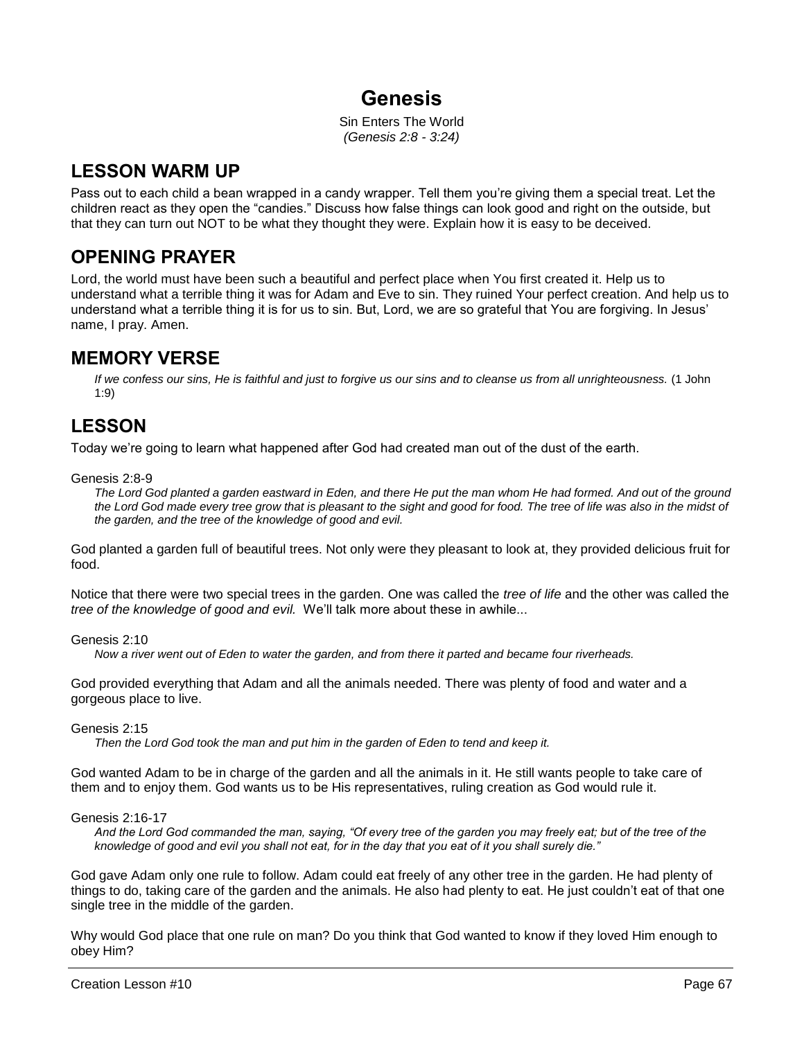# **Genesis**

Sin Enters The World *(Genesis 2:8 - 3:24)*

## **LESSON WARM UP**

Pass out to each child a bean wrapped in a candy wrapper. Tell them you're giving them a special treat. Let the children react as they open the "candies." Discuss how false things can look good and right on the outside, but that they can turn out NOT to be what they thought they were. Explain how it is easy to be deceived.

## **OPENING PRAYER**

Lord, the world must have been such a beautiful and perfect place when You first created it. Help us to understand what a terrible thing it was for Adam and Eve to sin. They ruined Your perfect creation. And help us to understand what a terrible thing it is for us to sin. But, Lord, we are so grateful that You are forgiving. In Jesus' name, I pray. Amen.

## **MEMORY VERSE**

*If we confess our sins, He is faithful and just to forgive us our sins and to cleanse us from all unrighteousness.* (1 John 1:9)

# **LESSON**

Today we're going to learn what happened after God had created man out of the dust of the earth.

Genesis 2:8-9

*The Lord God planted a garden eastward in Eden, and there He put the man whom He had formed. And out of the ground*  the Lord God made every tree grow that is pleasant to the sight and good for food. The tree of life was also in the midst of *the garden, and the tree of the knowledge of good and evil.*

God planted a garden full of beautiful trees. Not only were they pleasant to look at, they provided delicious fruit for food.

Notice that there were two special trees in the garden. One was called the *tree of life* and the other was called the *tree of the knowledge of good and evil.* We'll talk more about these in awhile...

Genesis 2:10

*Now a river went out of Eden to water the garden, and from there it parted and became four riverheads.*

God provided everything that Adam and all the animals needed. There was plenty of food and water and a gorgeous place to live.

Genesis 2:15

*Then the Lord God took the man and put him in the garden of Eden to tend and keep it.*

God wanted Adam to be in charge of the garden and all the animals in it. He still wants people to take care of them and to enjoy them. God wants us to be His representatives, ruling creation as God would rule it.

### Genesis 2:16-17

*And the Lord God commanded the man, saying, "Of every tree of the garden you may freely eat; but of the tree of the knowledge of good and evil you shall not eat, for in the day that you eat of it you shall surely die."*

God gave Adam only one rule to follow. Adam could eat freely of any other tree in the garden. He had plenty of things to do, taking care of the garden and the animals. He also had plenty to eat. He just couldn't eat of that one single tree in the middle of the garden.

Why would God place that one rule on man? Do you think that God wanted to know if they loved Him enough to obey Him?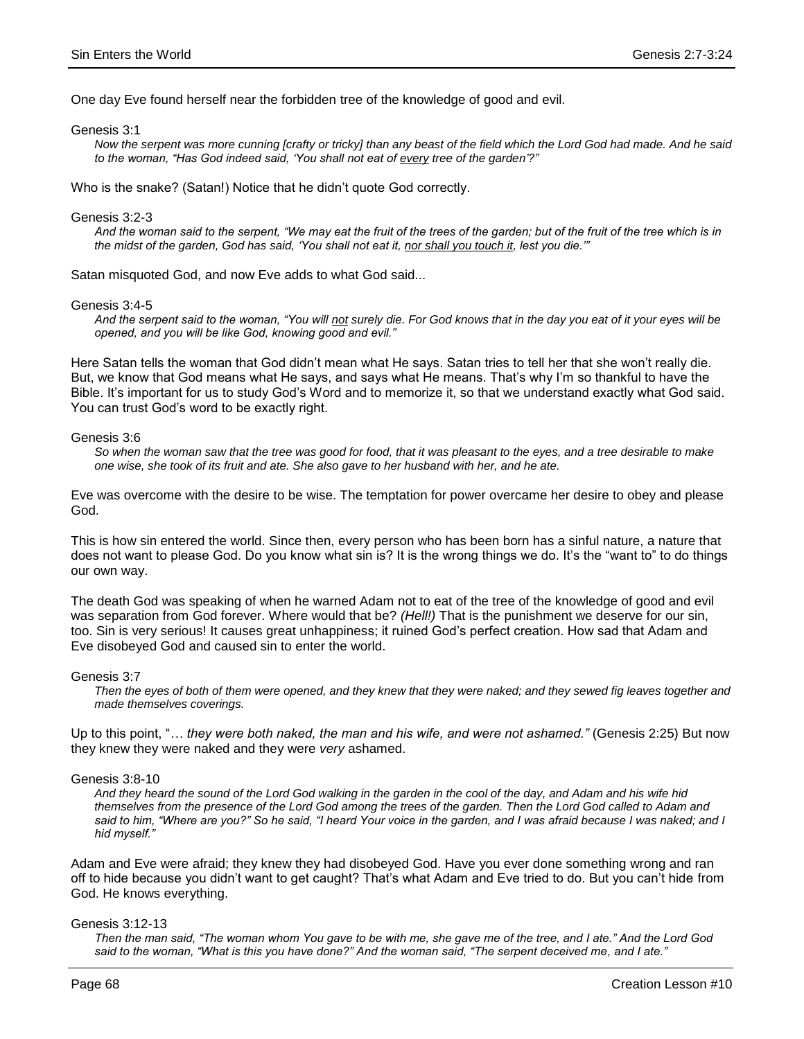One day Eve found herself near the forbidden tree of the knowledge of good and evil.

Genesis 3:1

*Now the serpent was more cunning [crafty or tricky] than any beast of the field which the Lord God had made. And he said to the woman, "Has God indeed said, 'You shall not eat of every tree of the garden'?"*

Who is the snake? (Satan!) Notice that he didn't quote God correctly.

Genesis 3:2-3

*And the woman said to the serpent, "We may eat the fruit of the trees of the garden; but of the fruit of the tree which is in the midst of the garden, God has said, 'You shall not eat it, nor shall you touch it, lest you die.'"*

Satan misquoted God, and now Eve adds to what God said...

Genesis 3:4-5

*And the serpent said to the woman, "You will not surely die. For God knows that in the day you eat of it your eyes will be opened, and you will be like God, knowing good and evil."*

Here Satan tells the woman that God didn't mean what He says. Satan tries to tell her that she won't really die. But, we know that God means what He says, and says what He means. That's why I'm so thankful to have the Bible. It's important for us to study God's Word and to memorize it, so that we understand exactly what God said. You can trust God's word to be exactly right.

Genesis 3:6

*So when the woman saw that the tree was good for food, that it was pleasant to the eyes, and a tree desirable to make one wise, she took of its fruit and ate. She also gave to her husband with her, and he ate.*

Eve was overcome with the desire to be wise. The temptation for power overcame her desire to obey and please God.

This is how sin entered the world. Since then, every person who has been born has a sinful nature, a nature that does not want to please God. Do you know what sin is? It is the wrong things we do. It's the "want to" to do things our own way.

The death God was speaking of when he warned Adam not to eat of the tree of the knowledge of good and evil was separation from God forever. Where would that be? *(Hell!)* That is the punishment we deserve for our sin, too. Sin is very serious! It causes great unhappiness; it ruined God's perfect creation. How sad that Adam and Eve disobeyed God and caused sin to enter the world.

Genesis 3:7

*Then the eyes of both of them were opened, and they knew that they were naked; and they sewed fig leaves together and made themselves coverings.*

Up to this point, "*… they were both naked, the man and his wife, and were not ashamed."* (Genesis 2:25) But now they knew they were naked and they were *very* ashamed.

Genesis 3:8-10

*And they heard the sound of the Lord God walking in the garden in the cool of the day, and Adam and his wife hid themselves from the presence of the Lord God among the trees of the garden. Then the Lord God called to Adam and*  said to him, "Where are you?" So he said, "I heard Your voice in the garden, and I was afraid because I was naked; and I *hid myself."*

Adam and Eve were afraid; they knew they had disobeyed God. Have you ever done something wrong and ran off to hide because you didn't want to get caught? That's what Adam and Eve tried to do. But you can't hide from God. He knows everything.

#### Genesis 3:12-13

*Then the man said, "The woman whom You gave to be with me, she gave me of the tree, and I ate." And the Lord God said to the woman, "What is this you have done?" And the woman said, "The serpent deceived me, and I ate."*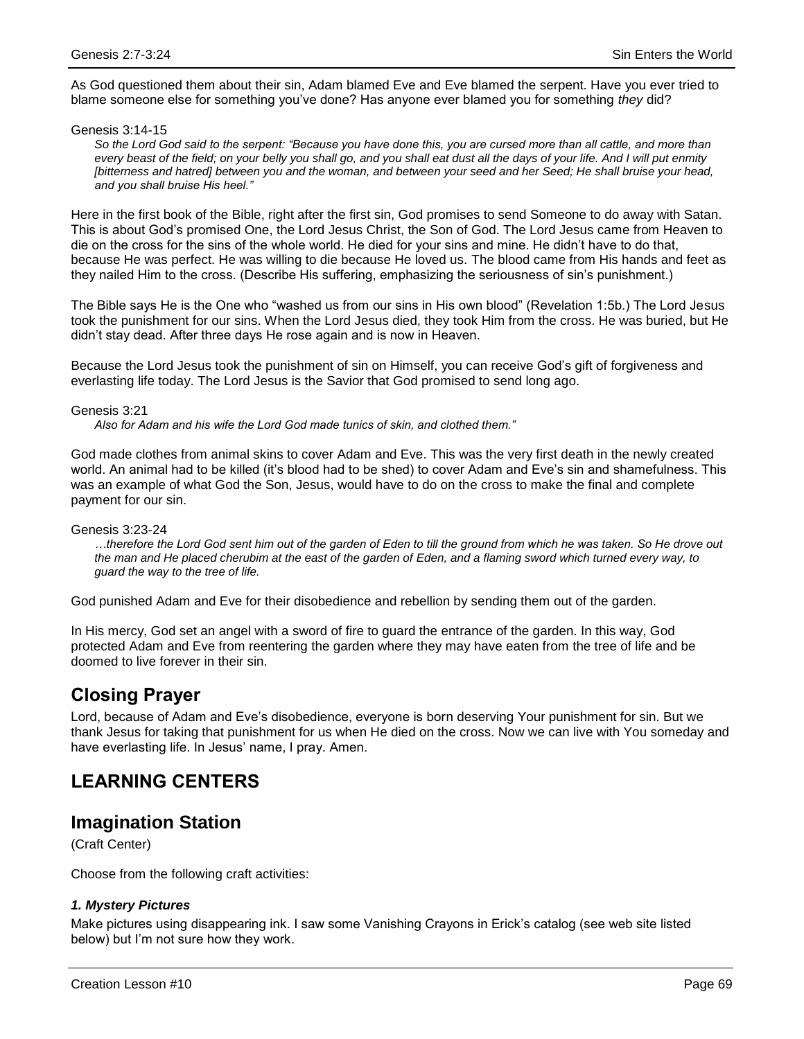As God questioned them about their sin, Adam blamed Eve and Eve blamed the serpent. Have you ever tried to blame someone else for something you've done? Has anyone ever blamed you for something *they* did?

#### Genesis 3:14-15

*So the Lord God said to the serpent: "Because you have done this, you are cursed more than all cattle, and more than every beast of the field; on your belly you shall go, and you shall eat dust all the days of your life. And I will put enmity [bitterness and hatred] between you and the woman, and between your seed and her Seed; He shall bruise your head, and you shall bruise His heel."*

Here in the first book of the Bible, right after the first sin, God promises to send Someone to do away with Satan. This is about God's promised One, the Lord Jesus Christ, the Son of God. The Lord Jesus came from Heaven to die on the cross for the sins of the whole world. He died for your sins and mine. He didn't have to do that, because He was perfect. He was willing to die because He loved us. The blood came from His hands and feet as they nailed Him to the cross. (Describe His suffering, emphasizing the seriousness of sin's punishment.)

The Bible says He is the One who "washed us from our sins in His own blood" (Revelation 1:5b.) The Lord Jesus took the punishment for our sins. When the Lord Jesus died, they took Him from the cross. He was buried, but He didn't stay dead. After three days He rose again and is now in Heaven.

Because the Lord Jesus took the punishment of sin on Himself, you can receive God's gift of forgiveness and everlasting life today. The Lord Jesus is the Savior that God promised to send long ago.

#### Genesis 3:21

*Also for Adam and his wife the Lord God made tunics of skin, and clothed them."*

God made clothes from animal skins to cover Adam and Eve. This was the very first death in the newly created world. An animal had to be killed (it's blood had to be shed) to cover Adam and Eve's sin and shamefulness. This was an example of what God the Son, Jesus, would have to do on the cross to make the final and complete payment for our sin.

#### Genesis 3:23-24

*…therefore the Lord God sent him out of the garden of Eden to till the ground from which he was taken. So He drove out the man and He placed cherubim at the east of the garden of Eden, and a flaming sword which turned every way, to guard the way to the tree of life.*

God punished Adam and Eve for their disobedience and rebellion by sending them out of the garden.

In His mercy, God set an angel with a sword of fire to guard the entrance of the garden. In this way, God protected Adam and Eve from reentering the garden where they may have eaten from the tree of life and be doomed to live forever in their sin.

## **Closing Prayer**

Lord, because of Adam and Eve's disobedience, everyone is born deserving Your punishment for sin. But we thank Jesus for taking that punishment for us when He died on the cross. Now we can live with You someday and have everlasting life. In Jesus' name, I pray. Amen.

## **LEARNING CENTERS**

## **Imagination Station**

(Craft Center)

Choose from the following craft activities:

### *1. Mystery Pictures*

Make pictures using disappearing ink. I saw some Vanishing Crayons in Erick's catalog (see web site listed below) but I'm not sure how they work.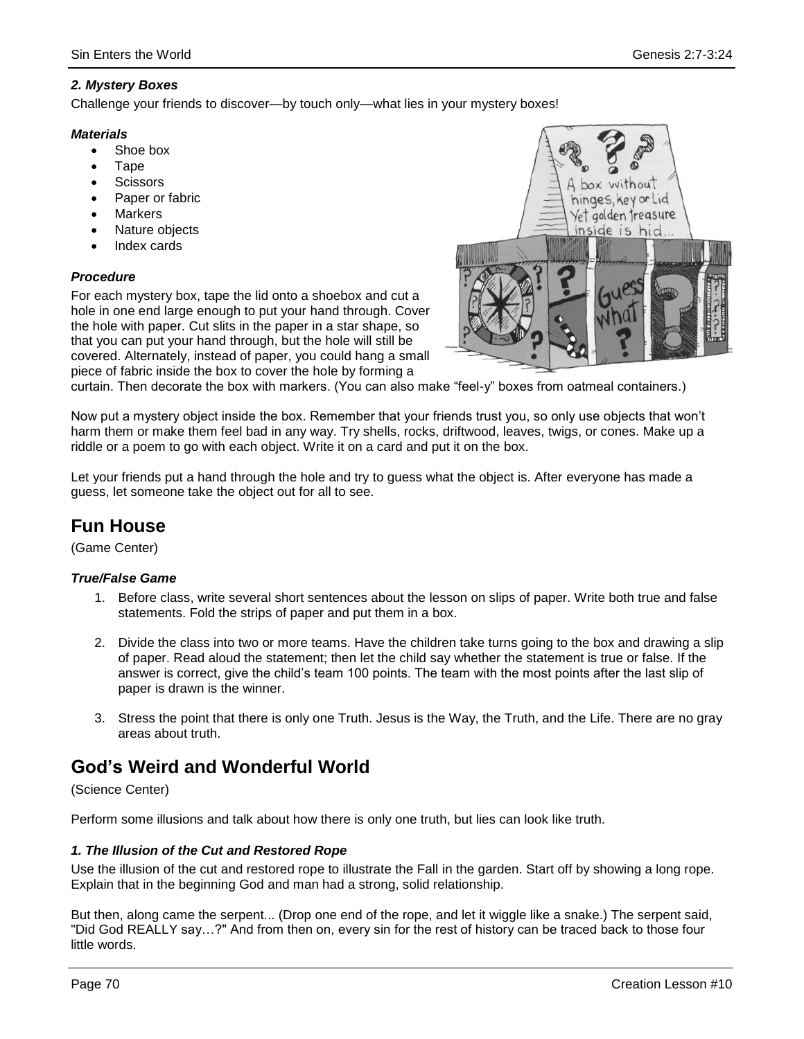## *2. Mystery Boxes*

Challenge your friends to discover—by touch only—what lies in your mystery boxes!

### *Materials*

- Shoe box
- **Tape**
- **Scissors**
- Paper or fabric
- Markers
- Nature objects
- Index cards

## *Procedure*

For each mystery box, tape the lid onto a shoebox and cut a hole in one end large enough to put your hand through. Cover the hole with paper. Cut slits in the paper in a star shape, so that you can put your hand through, but the hole will still be covered. Alternately, instead of paper, you could hang a small piece of fabric inside the box to cover the hole by forming a



curtain. Then decorate the box with markers. (You can also make "feel-y" boxes from oatmeal containers.)

Now put a mystery object inside the box. Remember that your friends trust you, so only use objects that won't harm them or make them feel bad in any way. Try shells, rocks, driftwood, leaves, twigs, or cones. Make up a riddle or a poem to go with each object. Write it on a card and put it on the box.

Let your friends put a hand through the hole and try to guess what the object is. After everyone has made a guess, let someone take the object out for all to see.

# **Fun House**

(Game Center)

### *True/False Game*

- 1. Before class, write several short sentences about the lesson on slips of paper. Write both true and false statements. Fold the strips of paper and put them in a box.
- 2. Divide the class into two or more teams. Have the children take turns going to the box and drawing a slip of paper. Read aloud the statement; then let the child say whether the statement is true or false. If the answer is correct, give the child's team 100 points. The team with the most points after the last slip of paper is drawn is the winner.
- 3. Stress the point that there is only one Truth. Jesus is the Way, the Truth, and the Life. There are no gray areas about truth.

# **God's Weird and Wonderful World**

### (Science Center)

Perform some illusions and talk about how there is only one truth, but lies can look like truth.

### *1. The Illusion of the Cut and Restored Rope*

Use the illusion of the cut and restored rope to illustrate the Fall in the garden. Start off by showing a long rope. Explain that in the beginning God and man had a strong, solid relationship.

But then, along came the serpent... (Drop one end of the rope, and let it wiggle like a snake.) The serpent said, "Did God REALLY say…?" And from then on, every sin for the rest of history can be traced back to those four little words.